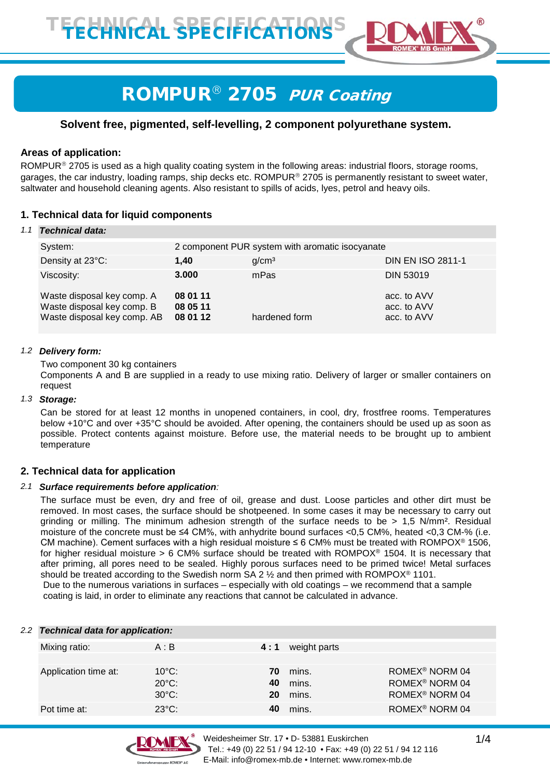

# ROMPUR<sup>®</sup> 2705 PUR Coating

# **Solvent free, pigmented, self-levelling, 2 component polyurethane system.**

## **Areas of application:**

ROMPUR<sup>®</sup> 2705 is used as a high quality coating system in the following areas: industrial floors, storage rooms, garages, the car industry, loading ramps, ship decks etc. ROMPUR<sup>®</sup> 2705 is permanently resistant to sweet water, saltwater and household cleaning agents. Also resistant to spills of acids, lyes, petrol and heavy oils.

# **1. Technical data for liquid components**

#### *1.1 Technical data:*

| System:                                                                                 | 2 component PUR system with aromatic isocyanate |                   |                                           |  |
|-----------------------------------------------------------------------------------------|-------------------------------------------------|-------------------|-------------------------------------------|--|
| Density at 23°C:                                                                        | 1,40                                            | g/cm <sup>3</sup> | <b>DIN EN ISO 2811-1</b>                  |  |
| Viscosity:                                                                              | 3.000                                           | mPas              | <b>DIN 53019</b>                          |  |
| Waste disposal key comp. A<br>Waste disposal key comp. B<br>Waste disposal key comp. AB | 08 01 11<br>08 05 11<br>08 01 12                | hardened form     | acc. to AVV<br>acc. to AVV<br>acc. to AVV |  |

#### *1.2 Delivery form:*

Two component 30 kg containers

Components A and B are supplied in a ready to use mixing ratio. Delivery of larger or smaller containers on request

#### *1.3 Storage:*

Can be stored for at least 12 months in unopened containers, in cool, dry, frostfree rooms. Temperatures below +10°C and over +35°C should be avoided. After opening, the containers should be used up as soon as possible. Protect contents against moisture. Before use, the material needs to be brought up to ambient temperature

## **2. Technical data for application**

#### *2.1 Surface requirements before application:*

The surface must be even, dry and free of oil, grease and dust. Loose particles and other dirt must be removed. In most cases, the surface should be shotpeened. In some cases it may be necessary to carry out grinding or milling. The minimum adhesion strength of the surface needs to be > 1,5 N/mm². Residual moisture of the concrete must be ≤4 CM%, with anhydrite bound surfaces <0,5 CM%, heated <0,3 CM-% (i.e. CM machine). Cement surfaces with a high residual moisture  $\leq 6$  CM% must be treated with ROMPOX<sup>®</sup> 1506, for higher residual moisture > 6 CM% surface should be treated with ROMPOX® 1504. It is necessary that after priming, all pores need to be sealed. Highly porous surfaces need to be primed twice! Metal surfaces should be treated according to the Swedish norm SA 2  $\frac{1}{2}$  and then primed with ROMPOX<sup>®</sup> 1101. Due to the numerous variations in surfaces – especially with old coatings – we recommend that a sample

coating is laid, in order to eliminate any reactions that cannot be calculated in advance.

|  | 2.2 Technical data for application: |                 |     |              |                            |
|--|-------------------------------------|-----------------|-----|--------------|----------------------------|
|  | Mixing ratio:                       | A : B           | 4:1 | weight parts |                            |
|  |                                     |                 |     |              |                            |
|  | Application time at:                | $10^{\circ}$ C: | 70. | mins.        | ROMEX <sup>®</sup> NORM 04 |
|  |                                     | $20^{\circ}$ C: | 40  | mins.        | ROMEX <sup>®</sup> NORM 04 |
|  |                                     | $30^{\circ}$ C: | 20  | mins.        | ROMEX <sup>®</sup> NORM 04 |
|  | Pot time at:                        | $23^{\circ}$ C: |     | mins.        | ROMEX <sup>®</sup> NORM 04 |

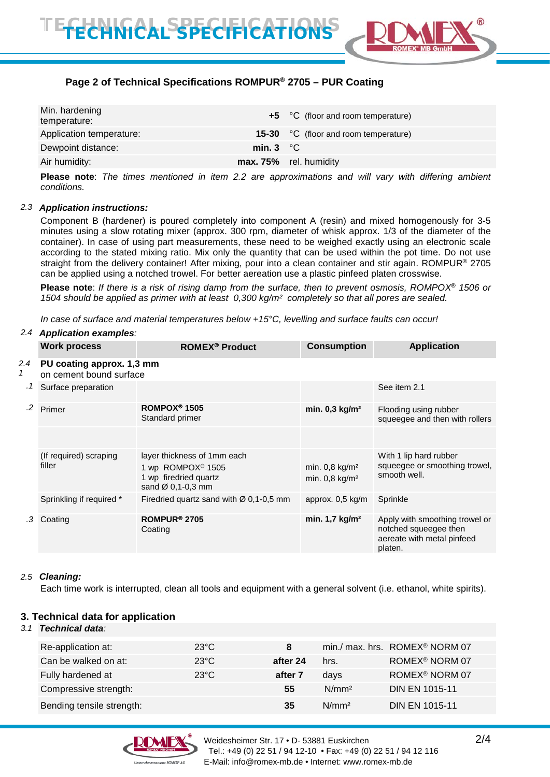

# **Page 2 of Technical Specifications ROMPUR® 2705 – PUR Coating**

| Min. hardening<br>temperature: |                    | +5 °C (floor and room temperature)    |
|--------------------------------|--------------------|---------------------------------------|
| Application temperature:       |                    | 15-30 °C (floor and room temperature) |
| Dewpoint distance:             | min. $3 \degree C$ |                                       |
| Air humidity:                  |                    | max. 75% rel. humidity                |
|                                |                    |                                       |

**Please note**: *The times mentioned in item 2.2 are approximations and will vary with differing ambient conditions.*

#### *2.3 Application instructions:*

Component B (hardener) is poured completely into component A (resin) and mixed homogenously for 3-5 minutes using a slow rotating mixer (approx. 300 rpm, diameter of whisk approx. 1/3 of the diameter of the container). In case of using part measurements, these need to be weighed exactly using an electronic scale according to the stated mixing ratio. Mix only the quantity that can be used within the pot time. Do not use straight from the delivery container! After mixing, pour into a clean container and stir again. ROMPUR® 2705 can be applied using a notched trowel. For better aereation use a plastic pinfeed platen crosswise.

**Please note**: *If there is a risk of rising damp from the surface, then to prevent osmosis, ROMPOX***®** *1506 or 1504 should be applied as primer with at least 0,300 kg/m² completely so that all pores are sealed.*

*In case of surface and material temperatures below +15°C, levelling and surface faults can occur!* 

#### *2.4 Application examples:*

|                 | <b>Work process</b>                                  | <b>ROMEX<sup>®</sup> Product</b>                                                                                       | <b>Consumption</b>                                           | <b>Application</b>                                                                               |  |  |
|-----------------|------------------------------------------------------|------------------------------------------------------------------------------------------------------------------------|--------------------------------------------------------------|--------------------------------------------------------------------------------------------------|--|--|
| 2.4<br>1<br>. 1 | PU coating approx. 1,3 mm<br>on cement bound surface |                                                                                                                        |                                                              |                                                                                                  |  |  |
|                 | Surface preparation                                  |                                                                                                                        |                                                              | See item 2.1                                                                                     |  |  |
| .2              | Primer                                               | ROMPOX <sup>®</sup> 1505<br>Standard primer                                                                            | min. $0,3$ kg/m <sup>2</sup>                                 | Flooding using rubber<br>squeegee and then with rollers                                          |  |  |
|                 |                                                      |                                                                                                                        |                                                              |                                                                                                  |  |  |
|                 | (If required) scraping<br>filler                     | layer thickness of 1mm each<br>1 wp ROMPOX <sup>®</sup> 1505<br>1 wp firedried quartz<br>sand $\varnothing$ 0,1-0,3 mm | min. $0,8$ kg/m <sup>2</sup><br>min. $0,8$ kg/m <sup>2</sup> | With 1 lip hard rubber<br>squeegee or smoothing trowel,<br>smooth well.                          |  |  |
|                 | Sprinkling if required *                             | Firedried quartz sand with $\varnothing$ 0,1-0,5 mm                                                                    | approx. 0,5 kg/m                                             | Sprinkle                                                                                         |  |  |
| .3              | Coating                                              | ROMPUR <sup>®</sup> 2705<br>Coating                                                                                    | min. $1,7$ kg/m <sup>2</sup>                                 | Apply with smoothing trowel or<br>notched squeegee then<br>aereate with metal pinfeed<br>platen. |  |  |

#### *2.5 Cleaning:*

Each time work is interrupted, clean all tools and equipment with a general solvent (i.e. ethanol, white spirits).

## **3. Technical data for application**

#### *3.1 Technical data:*

| Re-application at:        | $23^{\circ}$ C | 8        |                   | min./ max. hrs. ROMEX <sup>®</sup> NORM 07 |
|---------------------------|----------------|----------|-------------------|--------------------------------------------|
| Can be walked on at:      | $23^{\circ}$ C | after 24 | hrs.              | ROMEX <sup>®</sup> NORM 07                 |
| Fully hardened at         | $23^{\circ}$ C | after 7  | days              | ROMEX <sup>®</sup> NORM 07                 |
| Compressive strength:     |                | 55       | N/mm <sup>2</sup> | <b>DIN EN 1015-11</b>                      |
| Bending tensile strength: |                | 35       | N/mm <sup>2</sup> | <b>DIN EN 1015-11</b>                      |

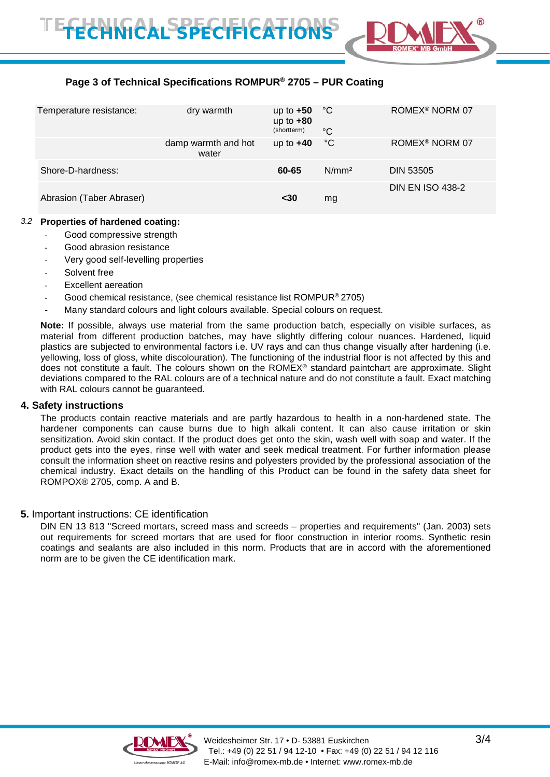

# **Page 3 of Technical Specifications ROMPUR® 2705 – PUR Coating**

| Temperature resistance:  | dry warmth                   | up to $+50$ °C<br>up to $+80$ |                   | ROMEX <sup>®</sup> NORM 07 |
|--------------------------|------------------------------|-------------------------------|-------------------|----------------------------|
|                          |                              | (shortterm)                   | $^{\circ}C$       |                            |
|                          | damp warmth and hot<br>water | up to $+40$                   | $^{\circ}$ C      | ROMEX <sup>®</sup> NORM 07 |
| Shore-D-hardness:        |                              | 60-65                         | N/mm <sup>2</sup> | <b>DIN 53505</b>           |
| Abrasion (Taber Abraser) |                              | $30$                          | mg                | <b>DIN EN ISO 438-2</b>    |

### *3.2* **Properties of hardened coating:**

- Good compressive strength
- Good abrasion resistance
- Very good self-levelling properties
- Solvent free
- Excellent aereation
- Good chemical resistance, (see chemical resistance list ROMPUR® 2705)
- Many standard colours and light colours available. Special colours on request.

**Note:** If possible, always use material from the same production batch, especially on visible surfaces, as material from different production batches, may have slightly differing colour nuances. Hardened, liquid plastics are subjected to environmental factors i.e. UV rays and can thus change visually after hardening (i.e. yellowing, loss of gloss, white discolouration). The functioning of the industrial floor is not affected by this and does not constitute a fault. The colours shown on the ROMEX® standard paintchart are approximate. Slight deviations compared to the RAL colours are of a technical nature and do not constitute a fault. Exact matching with RAL colours cannot be guaranteed.

#### **4. Safety instructions**

The products contain reactive materials and are partly hazardous to health in a non-hardened state. The hardener components can cause burns due to high alkali content. It can also cause irritation or skin sensitization. Avoid skin contact. If the product does get onto the skin, wash well with soap and water. If the product gets into the eyes, rinse well with water and seek medical treatment. For further information please consult the information sheet on reactive resins and polyesters provided by the professional association of the chemical industry. Exact details on the handling of this Product can be found in the safety data sheet for ROMPOX® 2705, comp. A and B.

## **5.** Important instructions: CE identification

DIN EN 13 813 "Screed mortars, screed mass and screeds – properties and requirements" (Jan. 2003) sets out requirements for screed mortars that are used for floor construction in interior rooms. Synthetic resin coatings and sealants are also included in this norm. Products that are in accord with the aforementioned norm are to be given the CE identification mark.